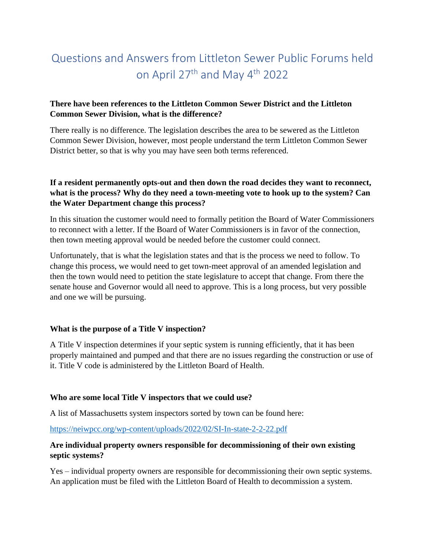# Questions and Answers from Littleton Sewer Public Forums held on April 27th and May 4th 2022

## **There have been references to the Littleton Common Sewer District and the Littleton Common Sewer Division, what is the difference?**

There really is no difference. The legislation describes the area to be sewered as the Littleton Common Sewer Division, however, most people understand the term Littleton Common Sewer District better, so that is why you may have seen both terms referenced.

## **If a resident permanently opts-out and then down the road decides they want to reconnect, what is the process? Why do they need a town-meeting vote to hook up to the system? Can the Water Department change this process?**

In this situation the customer would need to formally petition the Board of Water Commissioners to reconnect with a letter. If the Board of Water Commissioners is in favor of the connection, then town meeting approval would be needed before the customer could connect.

Unfortunately, that is what the legislation states and that is the process we need to follow. To change this process, we would need to get town-meet approval of an amended legislation and then the town would need to petition the state legislature to accept that change. From there the senate house and Governor would all need to approve. This is a long process, but very possible and one we will be pursuing.

## **What is the purpose of a Title V inspection?**

A Title V inspection determines if your septic system is running efficiently, that it has been properly maintained and pumped and that there are no issues regarding the construction or use of it. Title V code is administered by the Littleton Board of Health.

## **Who are some local Title V inspectors that we could use?**

A list of Massachusetts system inspectors sorted by town can be found here:

<https://neiwpcc.org/wp-content/uploads/2022/02/SI-In-state-2-2-22.pdf>

## **Are individual property owners responsible for decommissioning of their own existing septic systems?**

Yes – individual property owners are responsible for decommissioning their own septic systems. An application must be filed with the Littleton Board of Health to decommission a system.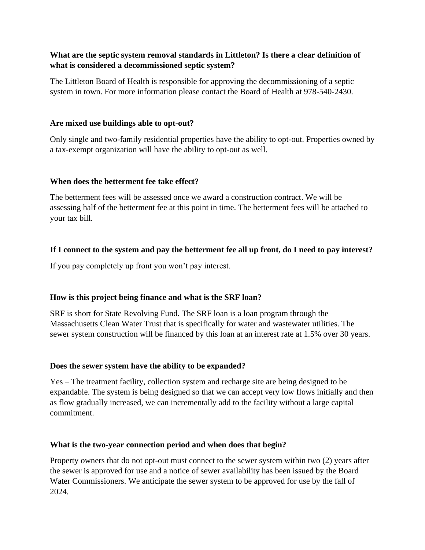## **What are the septic system removal standards in Littleton? Is there a clear definition of what is considered a decommissioned septic system?**

The Littleton Board of Health is responsible for approving the decommissioning of a septic system in town. For more information please contact the Board of Health at 978-540-2430.

## **Are mixed use buildings able to opt-out?**

Only single and two-family residential properties have the ability to opt-out. Properties owned by a tax-exempt organization will have the ability to opt-out as well.

## **When does the betterment fee take effect?**

The betterment fees will be assessed once we award a construction contract. We will be assessing half of the betterment fee at this point in time. The betterment fees will be attached to your tax bill.

# **If I connect to the system and pay the betterment fee all up front, do I need to pay interest?**

If you pay completely up front you won't pay interest.

# **How is this project being finance and what is the SRF loan?**

SRF is short for State Revolving Fund. The SRF loan is a loan program through the Massachusetts Clean Water Trust that is specifically for water and wastewater utilities. The sewer system construction will be financed by this loan at an interest rate at 1.5% over 30 years.

# **Does the sewer system have the ability to be expanded?**

Yes – The treatment facility, collection system and recharge site are being designed to be expandable. The system is being designed so that we can accept very low flows initially and then as flow gradually increased, we can incrementally add to the facility without a large capital commitment.

# **What is the two-year connection period and when does that begin?**

Property owners that do not opt-out must connect to the sewer system within two (2) years after the sewer is approved for use and a notice of sewer availability has been issued by the Board Water Commissioners. We anticipate the sewer system to be approved for use by the fall of 2024.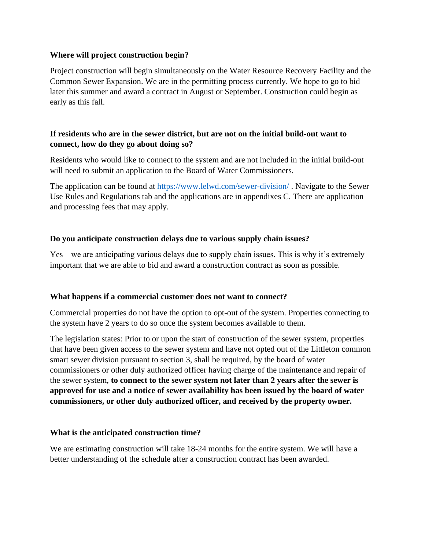#### **Where will project construction begin?**

Project construction will begin simultaneously on the Water Resource Recovery Facility and the Common Sewer Expansion. We are in the permitting process currently. We hope to go to bid later this summer and award a contract in August or September. Construction could begin as early as this fall.

## **If residents who are in the sewer district, but are not on the initial build-out want to connect, how do they go about doing so?**

Residents who would like to connect to the system and are not included in the initial build-out will need to submit an application to the Board of Water Commissioners.

The application can be found at<https://www.lelwd.com/sewer-division/> . Navigate to the Sewer Use Rules and Regulations tab and the applications are in appendixes C. There are application and processing fees that may apply.

#### **Do you anticipate construction delays due to various supply chain issues?**

Yes – we are anticipating various delays due to supply chain issues. This is why it's extremely important that we are able to bid and award a construction contract as soon as possible.

#### **What happens if a commercial customer does not want to connect?**

Commercial properties do not have the option to opt-out of the system. Properties connecting to the system have 2 years to do so once the system becomes available to them.

The legislation states: Prior to or upon the start of construction of the sewer system, properties that have been given access to the sewer system and have not opted out of the Littleton common smart sewer division pursuant to section 3, shall be required, by the board of water commissioners or other duly authorized officer having charge of the maintenance and repair of the sewer system, **to connect to the sewer system not later than 2 years after the sewer is approved for use and a notice of sewer availability has been issued by the board of water commissioners, or other duly authorized officer, and received by the property owner.**

## **What is the anticipated construction time?**

We are estimating construction will take 18-24 months for the entire system. We will have a better understanding of the schedule after a construction contract has been awarded.